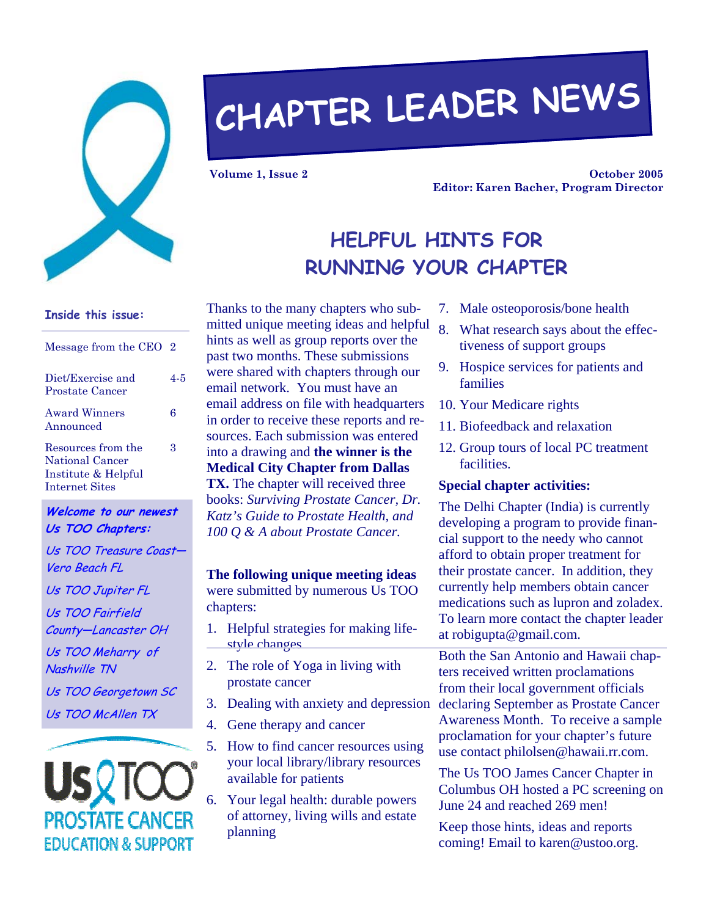

# **CHAPTER LEADER NEWS**

**Volume 1, Issue 2** 

**October 2005 Editor: Karen Bacher, Program Director** 

## **HELPFUL HINTS FOR RUNNING YOUR CHAPTER**

Thanks to the many chapters who submitted unique meeting ideas and helpful hints as well as group reports over the past two months. These submissions were shared with chapters through our email network. You must have an email address on file with headquarters in order to receive these reports and resources. Each submission was entered into a drawing and **the winner is the Medical City Chapter from Dallas TX.** The chapter will received three books: *Surviving Prostate Cancer, Dr. Katz's Guide to Prostate Health, and 100 Q & A about Prostate Cancer.* 

**The following unique meeting ideas**  were submitted by numerous Us TOO chapters:

- 1. Helpful strategies for making lifestyle changes
- 2. The role of Yoga in living with prostate cancer
- 3. Dealing with anxiety and depression
- 4. Gene therapy and cancer
- 5. How to find cancer resources using your local library/library resources available for patients
- 6. Your legal health: durable powers of attorney, living wills and estate planning
- 7. Male osteoporosis/bone health
- 8. What research says about the effectiveness of support groups
- 9. Hospice services for patients and families
- 10. Your Medicare rights
- 11. Biofeedback and relaxation
- 12. Group tours of local PC treatment facilities.

#### **Special chapter activities:**

The Delhi Chapter (India) is currently developing a program to provide financial support to the needy who cannot afford to obtain proper treatment for their prostate cancer. In addition, they currently help members obtain cancer medications such as lupron and zoladex. To learn more contact the chapter leader at robigupta@gmail.com.

Both the San Antonio and Hawaii chapters received written proclamations from their local government officials declaring September as Prostate Cancer Awareness Month. To receive a sample proclamation for your chapter's future use contact philolsen@hawaii.rr.com.

The Us TOO James Cancer Chapter in Columbus OH hosted a PC screening on June 24 and reached 269 men!

Keep those hints, ideas and reports coming! Email to karen@ustoo.org.

#### **Inside this issue:**

| Message from the CEO 2                                                         |     |
|--------------------------------------------------------------------------------|-----|
| Diet/Exercise and<br>Prostate Cancer                                           | 4-5 |
| <b>Award Winners</b><br>Announced                                              | 6   |
| Resources from the<br>National Cancer<br>Institute & Helpful<br>Internet Sites | я   |
|                                                                                |     |

#### **Welcome to our newest Us TOO Chapters:**

Us TOO Treasure Coast— Vero Beach FL

Us TOO Jupiter FL

Us TOO Fairfield County—Lancaster OH

Us TOO Meharry of Nashville TN

Us TOO Georgetown SC

Us TOO McAllen TX

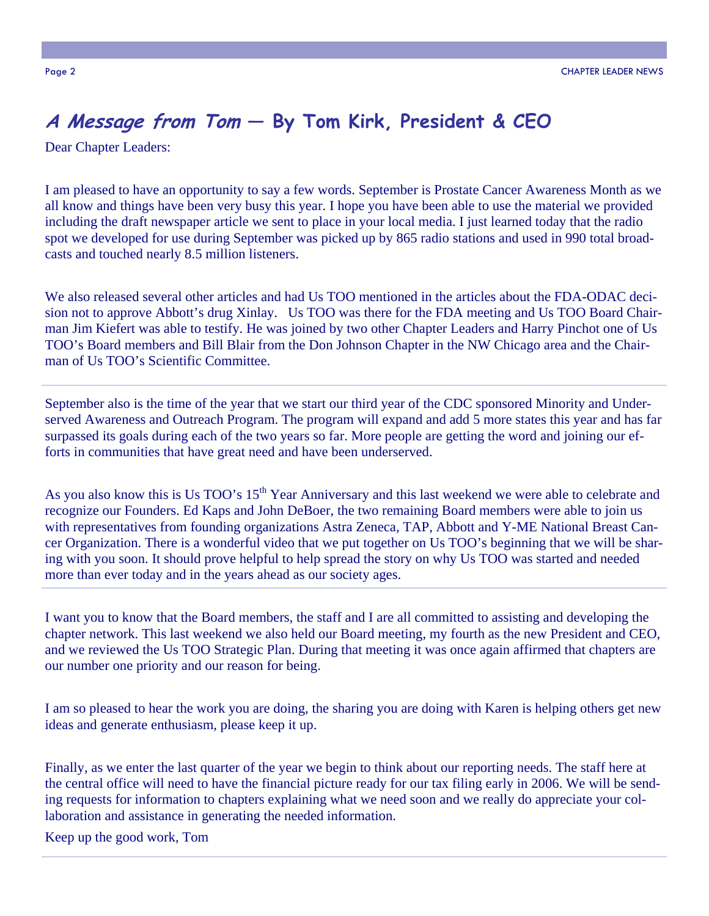## **A Message from Tom — By Tom Kirk, President & CEO**

Dear Chapter Leaders:

I am pleased to have an opportunity to say a few words. September is Prostate Cancer Awareness Month as we all know and things have been very busy this year. I hope you have been able to use the material we provided including the draft newspaper article we sent to place in your local media. I just learned today that the radio spot we developed for use during September was picked up by 865 radio stations and used in 990 total broadcasts and touched nearly 8.5 million listeners.

We also released several other articles and had Us TOO mentioned in the articles about the FDA-ODAC decision not to approve Abbott's drug Xinlay. Us TOO was there for the FDA meeting and Us TOO Board Chairman Jim Kiefert was able to testify. He was joined by two other Chapter Leaders and Harry Pinchot one of Us TOO's Board members and Bill Blair from the Don Johnson Chapter in the NW Chicago area and the Chairman of Us TOO's Scientific Committee.

September also is the time of the year that we start our third year of the CDC sponsored Minority and Underserved Awareness and Outreach Program. The program will expand and add 5 more states this year and has far surpassed its goals during each of the two years so far. More people are getting the word and joining our efforts in communities that have great need and have been underserved.

As you also know this is Us TOO's 15<sup>th</sup> Year Anniversary and this last weekend we were able to celebrate and recognize our Founders. Ed Kaps and John DeBoer, the two remaining Board members were able to join us with representatives from founding organizations Astra Zeneca, TAP, Abbott and Y-ME National Breast Cancer Organization. There is a wonderful video that we put together on Us TOO's beginning that we will be sharing with you soon. It should prove helpful to help spread the story on why Us TOO was started and needed more than ever today and in the years ahead as our society ages.

I want you to know that the Board members, the staff and I are all committed to assisting and developing the chapter network. This last weekend we also held our Board meeting, my fourth as the new President and CEO, and we reviewed the Us TOO Strategic Plan. During that meeting it was once again affirmed that chapters are our number one priority and our reason for being.

I am so pleased to hear the work you are doing, the sharing you are doing with Karen is helping others get new ideas and generate enthusiasm, please keep it up.

Finally, as we enter the last quarter of the year we begin to think about our reporting needs. The staff here at the central office will need to have the financial picture ready for our tax filing early in 2006. We will be sending requests for information to chapters explaining what we need soon and we really do appreciate your collaboration and assistance in generating the needed information.

Keep up the good work, Tom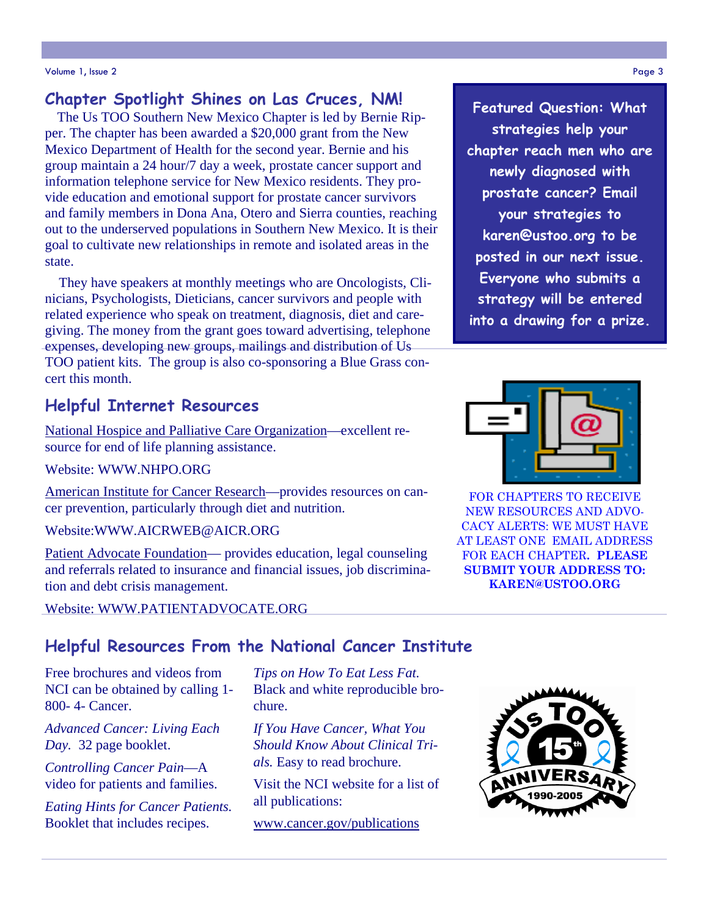#### **Chapter Spotlight Shines on Las Cruces, NM!**

 The Us TOO Southern New Mexico Chapter is led by Bernie Ripper. The chapter has been awarded a \$20,000 grant from the New Mexico Department of Health for the second year. Bernie and his group maintain a 24 hour/7 day a week, prostate cancer support and information telephone service for New Mexico residents. They provide education and emotional support for prostate cancer survivors and family members in Dona Ana, Otero and Sierra counties, reaching out to the underserved populations in Southern New Mexico. It is their goal to cultivate new relationships in remote and isolated areas in the state.

 They have speakers at monthly meetings who are Oncologists, Clinicians, Psychologists, Dieticians, cancer survivors and people with related experience who speak on treatment, diagnosis, diet and caregiving. The money from the grant goes toward advertising, telephone expenses, developing new groups, mailings and distribution of Us TOO patient kits. The group is also co-sponsoring a Blue Grass concert this month.

#### **Helpful Internet Resources**

National Hospice and Palliative Care Organization—excellent resource for end of life planning assistance.

Website: WWW.NHPO.ORG

American Institute for Cancer Research—provides resources on cancer prevention, particularly through diet and nutrition.

Website:WWW.AICRWEB@AICR.ORG

Patient Advocate Foundation— provides education, legal counseling and referrals related to insurance and financial issues, job discrimination and debt crisis management.

Website: WWW.PATIENTADVOCATE.ORG

## **Helpful Resources From the National Cancer Institute**

Free brochures and videos from NCI can be obtained by calling 1- 800- 4- Cancer.

*Advanced Cancer: Living Each Day.* 32 page booklet.

*Controlling Cancer Pain*—A video for patients and families.

*Eating Hints for Cancer Patients.*  Booklet that includes recipes.

*Tips on How To Eat Less Fat.*  Black and white reproducible brochure.

*If You Have Cancer, What You Should Know About Clinical Trials.* Easy to read brochure.

Visit the NCI website for a list of all publications:

www.cancer.gov/publications



**Featured Question: What strategies help your chapter reach men who are newly diagnosed with prostate cancer? Email your strategies to karen@ustoo.org to be posted in our next issue. Everyone who submits a strategy will be entered into a drawing for a prize.** 



FOR CHAPTERS TO RECEIVE NEW RESOURCES AND ADVO-CACY ALERTS: WE MUST HAVE AT LEAST ONE EMAIL ADDRESS FOR EACH CHAPTER**. PLEASE SUBMIT YOUR ADDRESS TO:** 

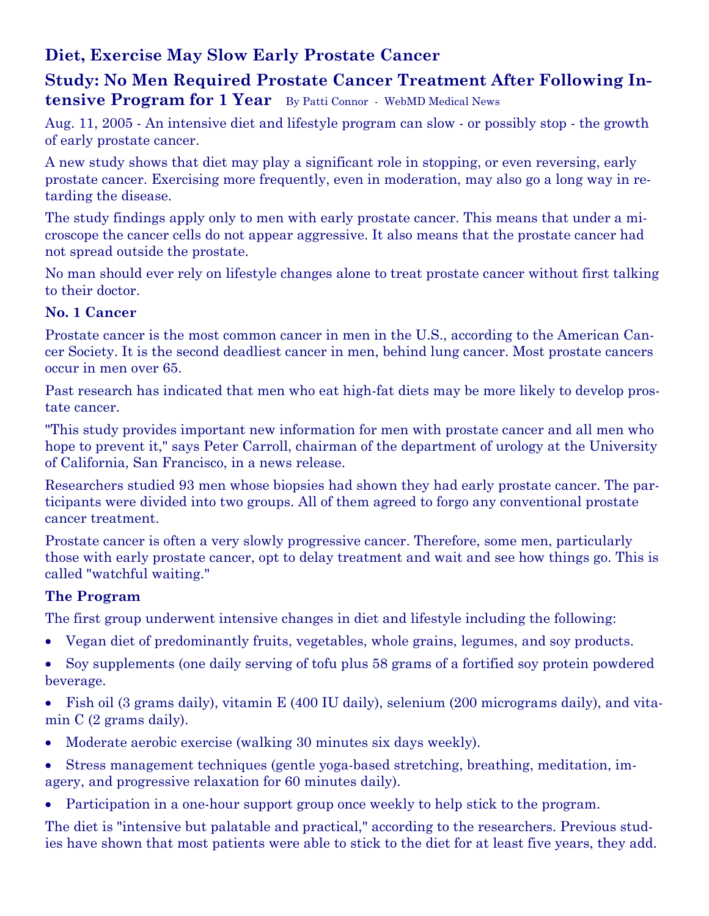## **Diet, Exercise May Slow Early Prostate Cancer**

## **Study: No Men Required Prostate Cancer Treatment After Following Intensive Program for 1 Year** By Patti Connor - WebMD Medical News

Aug. 11, 2005 - An intensive diet and lifestyle program can slow - or possibly stop - the growth of early prostate cancer.

A new study shows that diet may play a significant role in stopping, or even reversing, early prostate cancer. Exercising more frequently, even in moderation, may also go a long way in retarding the disease.

The study findings apply only to men with early prostate cancer. This means that under a microscope the cancer cells do not appear aggressive. It also means that the prostate cancer had not spread outside the prostate.

No man should ever rely on lifestyle changes alone to treat prostate cancer without first talking to their doctor.

#### **No. 1 Cancer**

Prostate cancer is the most common cancer in men in the U.S., according to the American Cancer Society. It is the second deadliest cancer in men, behind lung cancer. Most prostate cancers occur in men over 65.

Past research has indicated that men who eat high-fat diets may be more likely to develop prostate cancer.

"This study provides important new information for men with prostate cancer and all men who hope to prevent it," says Peter Carroll, chairman of the department of urology at the University of California, San Francisco, in a news release.

Researchers studied 93 men whose biopsies had shown they had early prostate cancer. The participants were divided into two groups. All of them agreed to forgo any conventional prostate cancer treatment.

Prostate cancer is often a very slowly progressive cancer. Therefore, some men, particularly those with early prostate cancer, opt to delay treatment and wait and see how things go. This is called "watchful waiting."

## **The Program**

The first group underwent intensive changes in diet and lifestyle including the following:

- Vegan diet of predominantly fruits, vegetables, whole grains, legumes, and soy products.
- Soy supplements (one daily serving of tofu plus 58 grams of a fortified soy protein powdered beverage.

• Fish oil (3 grams daily), vitamin E (400 IU daily), selenium (200 micrograms daily), and vitamin C (2 grams daily).

- Moderate aerobic exercise (walking 30 minutes six days weekly).
- Stress management techniques (gentle yoga-based stretching, breathing, meditation, imagery, and progressive relaxation for 60 minutes daily).
- Participation in a one-hour support group once weekly to help stick to the program.

The diet is "intensive but palatable and practical," according to the researchers. Previous studies have shown that most patients were able to stick to the diet for at least five years, they add.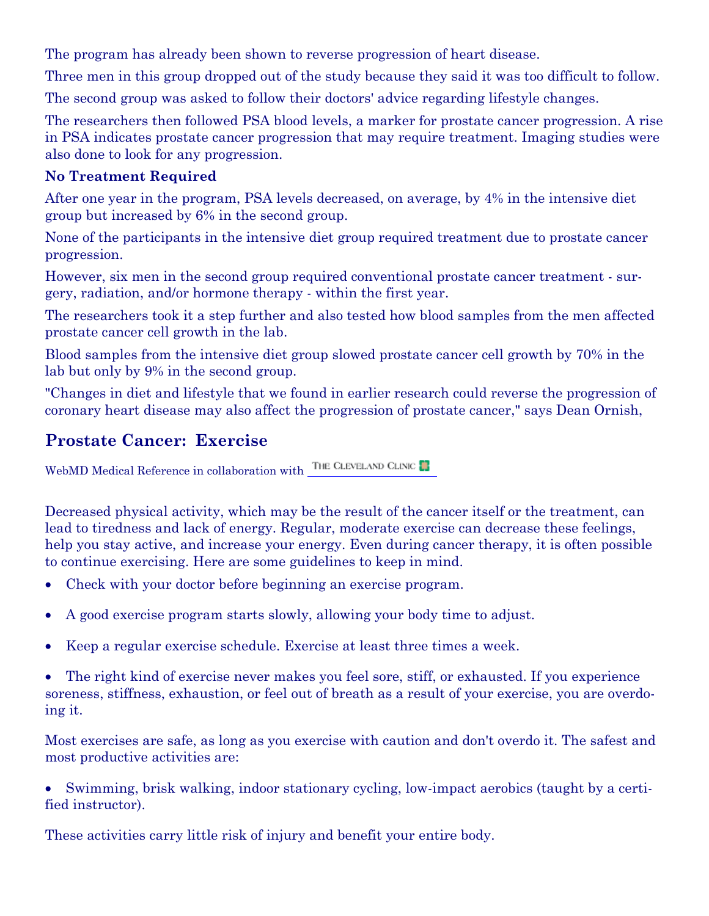The program has already been shown to reverse progression of heart disease.

Three men in this group dropped out of the study because they said it was too difficult to follow.

The second group was asked to follow their doctors' advice regarding lifestyle changes.

The researchers then followed PSA blood levels, a marker for prostate cancer progression. A rise in PSA indicates prostate cancer progression that may require treatment. Imaging studies were also done to look for any progression.

## **No Treatment Required**

After one year in the program, PSA levels decreased, on average, by 4% in the intensive diet group but increased by 6% in the second group.

None of the participants in the intensive diet group required treatment due to prostate cancer progression.

However, six men in the second group required conventional prostate cancer treatment - surgery, radiation, and/or hormone therapy - within the first year.

The researchers took it a step further and also tested how blood samples from the men affected prostate cancer cell growth in the lab.

Blood samples from the intensive diet group slowed prostate cancer cell growth by 70% in the lab but only by 9% in the second group.

"Changes in diet and lifestyle that we found in earlier research could reverse the progression of coronary heart disease may also affect the progression of prostate cancer," says Dean Ornish,

## **Prostate Cancer: Exercise**

WebMD Medical Reference in collaboration with  $\underline{\hbox{ The CLEVELAND CLINC}}$ 

Decreased physical activity, which may be the result of the cancer itself or the treatment, can lead to tiredness and lack of energy. Regular, moderate exercise can decrease these feelings, help you stay active, and increase your energy. Even during cancer therapy, it is often possible to continue exercising. Here are some guidelines to keep in mind.

- Check with your doctor before beginning an exercise program.
- A good exercise program starts slowly, allowing your body time to adjust.
- Keep a regular exercise schedule. Exercise at least three times a week.

• The right kind of exercise never makes you feel sore, stiff, or exhausted. If you experience soreness, stiffness, exhaustion, or feel out of breath as a result of your exercise, you are overdoing it.

Most exercises are safe, as long as you exercise with caution and don't overdo it. The safest and most productive activities are:

• Swimming, brisk walking, indoor stationary cycling, low-impact aerobics (taught by a certified instructor).

These activities carry little risk of injury and benefit your entire body.